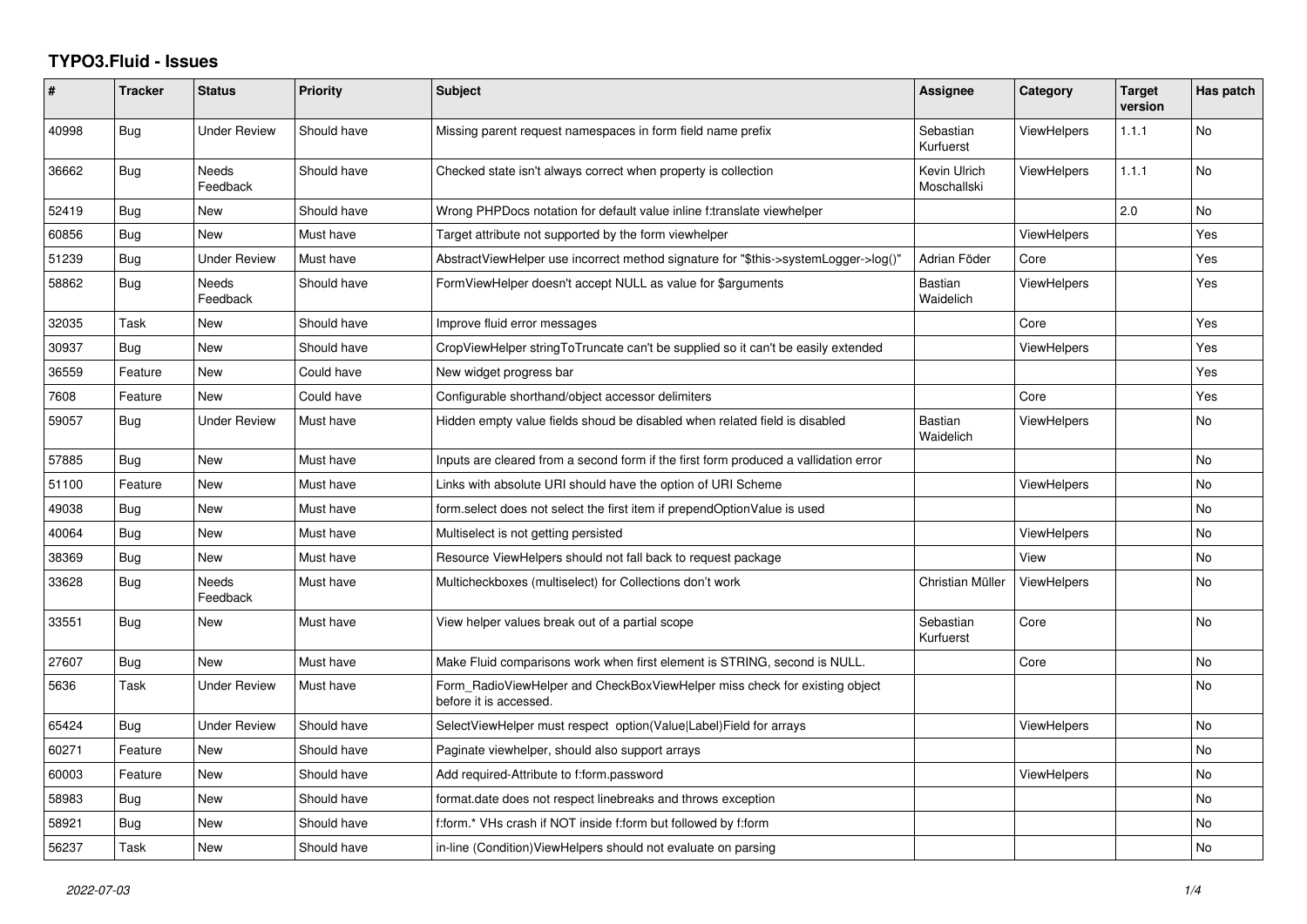## **TYPO3.Fluid - Issues**

| ∦     | <b>Tracker</b> | <b>Status</b>            | Priority    | Subject                                                                                              | <b>Assignee</b>             | Category           | <b>Target</b><br>version | Has patch |
|-------|----------------|--------------------------|-------------|------------------------------------------------------------------------------------------------------|-----------------------------|--------------------|--------------------------|-----------|
| 40998 | Bug            | <b>Under Review</b>      | Should have | Missing parent request namespaces in form field name prefix                                          | Sebastian<br>Kurfuerst      | <b>ViewHelpers</b> | 1.1.1                    | No        |
| 36662 | Bug            | <b>Needs</b><br>Feedback | Should have | Checked state isn't always correct when property is collection                                       | Kevin Ulrich<br>Moschallski | <b>ViewHelpers</b> | 1.1.1                    | No        |
| 52419 | Bug            | New                      | Should have | Wrong PHPDocs notation for default value inline f:translate viewhelper                               |                             |                    | 2.0                      | No        |
| 60856 | Bug            | <b>New</b>               | Must have   | Target attribute not supported by the form viewhelper                                                |                             | <b>ViewHelpers</b> |                          | Yes       |
| 51239 | Bug            | <b>Under Review</b>      | Must have   | AbstractViewHelper use incorrect method signature for "\$this->systemLogger->log()"                  | Adrian Föder                | Core               |                          | Yes       |
| 58862 | Bug            | Needs<br>Feedback        | Should have | FormViewHelper doesn't accept NULL as value for \$arguments                                          | <b>Bastian</b><br>Waidelich | <b>ViewHelpers</b> |                          | Yes       |
| 32035 | Task           | New                      | Should have | Improve fluid error messages                                                                         |                             | Core               |                          | Yes       |
| 30937 | Bug            | New                      | Should have | CropViewHelper stringToTruncate can't be supplied so it can't be easily extended                     |                             | <b>ViewHelpers</b> |                          | Yes       |
| 36559 | Feature        | New                      | Could have  | New widget progress bar                                                                              |                             |                    |                          | Yes       |
| 7608  | Feature        | New                      | Could have  | Configurable shorthand/object accessor delimiters                                                    |                             | Core               |                          | Yes       |
| 59057 | Bug            | <b>Under Review</b>      | Must have   | Hidden empty value fields shoud be disabled when related field is disabled                           | Bastian<br>Waidelich        | <b>ViewHelpers</b> |                          | No        |
| 57885 | Bug            | New                      | Must have   | Inputs are cleared from a second form if the first form produced a vallidation error                 |                             |                    |                          | No        |
| 51100 | Feature        | New                      | Must have   | Links with absolute URI should have the option of URI Scheme                                         |                             | <b>ViewHelpers</b> |                          | No        |
| 49038 | Bug            | <b>New</b>               | Must have   | form.select does not select the first item if prependOptionValue is used                             |                             |                    |                          | No        |
| 40064 | Bug            | New                      | Must have   | Multiselect is not getting persisted                                                                 |                             | <b>ViewHelpers</b> |                          | No        |
| 38369 | Bug            | New                      | Must have   | Resource ViewHelpers should not fall back to request package                                         |                             | View               |                          | No        |
| 33628 | Bug            | Needs<br>Feedback        | Must have   | Multicheckboxes (multiselect) for Collections don't work                                             | Christian Müller            | <b>ViewHelpers</b> |                          | No        |
| 33551 | Bug            | New                      | Must have   | View helper values break out of a partial scope                                                      | Sebastian<br>Kurfuerst      | Core               |                          | No        |
| 27607 | Bug            | <b>New</b>               | Must have   | Make Fluid comparisons work when first element is STRING, second is NULL.                            |                             | Core               |                          | No.       |
| 5636  | Task           | <b>Under Review</b>      | Must have   | Form RadioViewHelper and CheckBoxViewHelper miss check for existing object<br>before it is accessed. |                             |                    |                          | No        |
| 65424 | Bug            | Under Review             | Should have | SelectViewHelper must respect option(Value Label)Field for arrays                                    |                             | <b>ViewHelpers</b> |                          | No        |
| 60271 | Feature        | New                      | Should have | Paginate viewhelper, should also support arrays                                                      |                             |                    |                          | No        |
| 60003 | Feature        | New                      | Should have | Add required-Attribute to f:form.password                                                            |                             | <b>ViewHelpers</b> |                          | No        |
| 58983 | Bug            | New                      | Should have | format.date does not respect linebreaks and throws exception                                         |                             |                    |                          | No        |
| 58921 | Bug            | New                      | Should have | f:form.* VHs crash if NOT inside f:form but followed by f:form                                       |                             |                    |                          | No        |
| 56237 | Task           | New                      | Should have | in-line (Condition) View Helpers should not evaluate on parsing                                      |                             |                    |                          | No        |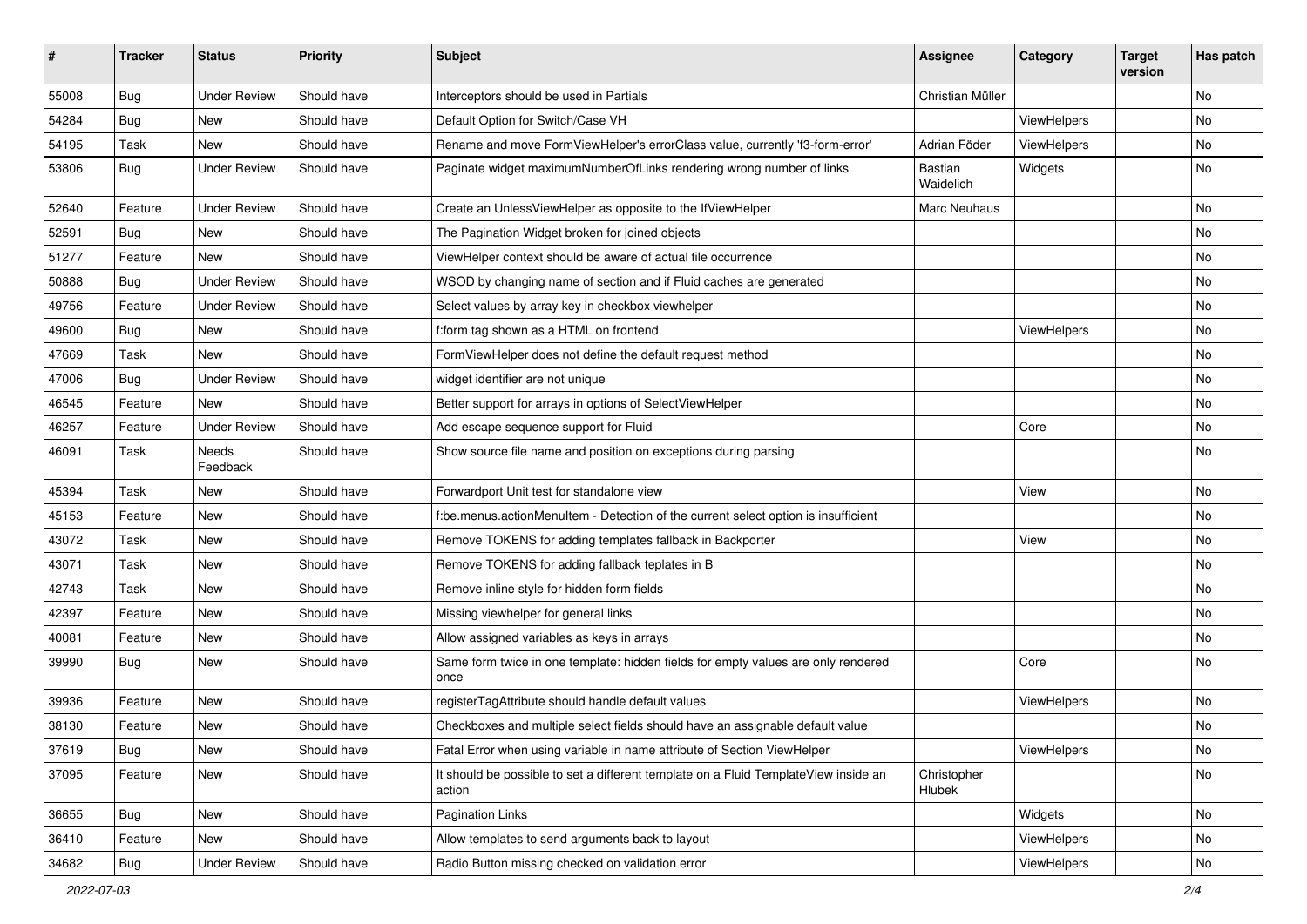| $\pmb{\sharp}$ | <b>Tracker</b> | <b>Status</b>       | <b>Priority</b> | Subject                                                                                       | Assignee              | <b>Category</b> | <b>Target</b><br>version | Has patch |
|----------------|----------------|---------------------|-----------------|-----------------------------------------------------------------------------------------------|-----------------------|-----------------|--------------------------|-----------|
| 55008          | Bug            | <b>Under Review</b> | Should have     | Interceptors should be used in Partials                                                       | Christian Müller      |                 |                          | <b>No</b> |
| 54284          | Bug            | New                 | Should have     | Default Option for Switch/Case VH                                                             |                       | ViewHelpers     |                          | No        |
| 54195          | Task           | New                 | Should have     | Rename and move FormViewHelper's errorClass value, currently 'f3-form-error'                  | Adrian Föder          | ViewHelpers     |                          | No        |
| 53806          | Bug            | <b>Under Review</b> | Should have     | Paginate widget maximumNumberOfLinks rendering wrong number of links                          | Bastian<br>Waidelich  | Widgets         |                          | No        |
| 52640          | Feature        | <b>Under Review</b> | Should have     | Create an UnlessViewHelper as opposite to the IfViewHelper                                    | Marc Neuhaus          |                 |                          | No        |
| 52591          | Bug            | New                 | Should have     | The Pagination Widget broken for joined objects                                               |                       |                 |                          | No        |
| 51277          | Feature        | New                 | Should have     | ViewHelper context should be aware of actual file occurrence                                  |                       |                 |                          | No        |
| 50888          | Bug            | <b>Under Review</b> | Should have     | WSOD by changing name of section and if Fluid caches are generated                            |                       |                 |                          | No        |
| 49756          | Feature        | <b>Under Review</b> | Should have     | Select values by array key in checkbox viewhelper                                             |                       |                 |                          | No        |
| 49600          | Bug            | New                 | Should have     | f:form tag shown as a HTML on frontend                                                        |                       | ViewHelpers     |                          | No        |
| 47669          | Task           | <b>New</b>          | Should have     | FormViewHelper does not define the default request method                                     |                       |                 |                          | No        |
| 47006          | Bug            | <b>Under Review</b> | Should have     | widget identifier are not unique                                                              |                       |                 |                          | No        |
| 46545          | Feature        | <b>New</b>          | Should have     | Better support for arrays in options of SelectViewHelper                                      |                       |                 |                          | <b>No</b> |
| 46257          | Feature        | <b>Under Review</b> | Should have     | Add escape sequence support for Fluid                                                         |                       | Core            |                          | No        |
| 46091          | Task           | Needs<br>Feedback   | Should have     | Show source file name and position on exceptions during parsing                               |                       |                 |                          | No        |
| 45394          | Task           | <b>New</b>          | Should have     | Forwardport Unit test for standalone view                                                     |                       | View            |                          | No        |
| 45153          | Feature        | <b>New</b>          | Should have     | f:be.menus.actionMenuItem - Detection of the current select option is insufficient            |                       |                 |                          | No        |
| 43072          | Task           | New                 | Should have     | Remove TOKENS for adding templates fallback in Backporter                                     |                       | View            |                          | No        |
| 43071          | Task           | New                 | Should have     | Remove TOKENS for adding fallback teplates in B                                               |                       |                 |                          | No        |
| 42743          | Task           | <b>New</b>          | Should have     | Remove inline style for hidden form fields                                                    |                       |                 |                          | No        |
| 42397          | Feature        | New                 | Should have     | Missing viewhelper for general links                                                          |                       |                 |                          | No        |
| 40081          | Feature        | New                 | Should have     | Allow assigned variables as keys in arrays                                                    |                       |                 |                          | No        |
| 39990          | Bug            | New                 | Should have     | Same form twice in one template: hidden fields for empty values are only rendered<br>once     |                       | Core            |                          | <b>No</b> |
| 39936          | Feature        | New                 | Should have     | registerTagAttribute should handle default values                                             |                       | ViewHelpers     |                          | <b>No</b> |
| 38130          | Feature        | New                 | Should have     | Checkboxes and multiple select fields should have an assignable default value                 |                       |                 |                          | No        |
| 37619          | <b>Bug</b>     | New                 | Should have     | Fatal Error when using variable in name attribute of Section ViewHelper                       |                       | ViewHelpers     |                          | No        |
| 37095          | Feature        | New                 | Should have     | It should be possible to set a different template on a Fluid TemplateView inside an<br>action | Christopher<br>Hlubek |                 |                          | No        |
| 36655          | Bug            | New                 | Should have     | Pagination Links                                                                              |                       | Widgets         |                          | No        |
| 36410          | Feature        | New                 | Should have     | Allow templates to send arguments back to layout                                              |                       | ViewHelpers     |                          | No        |
| 34682          | <b>Bug</b>     | <b>Under Review</b> | Should have     | Radio Button missing checked on validation error                                              |                       | ViewHelpers     |                          | No        |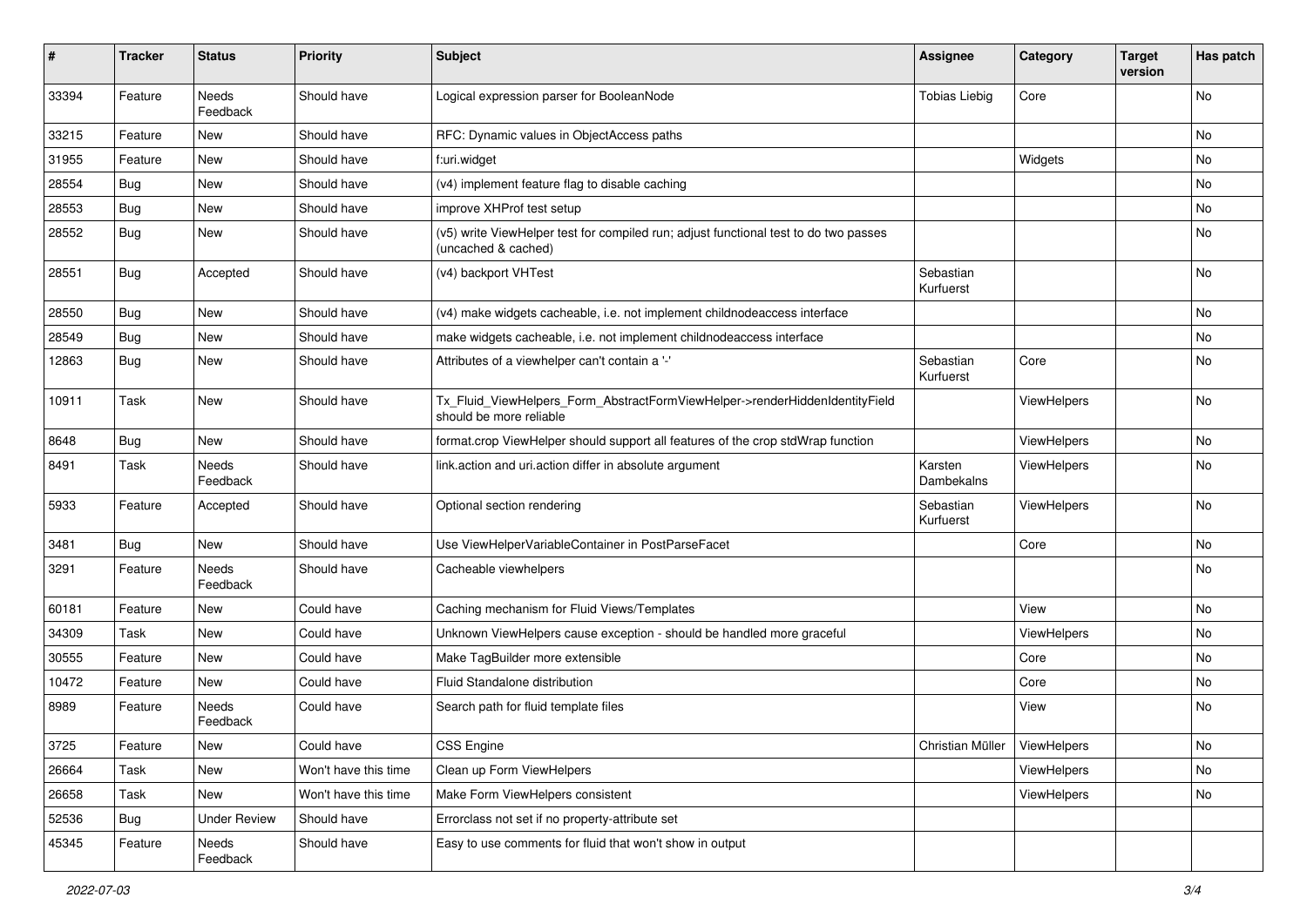| #     | <b>Tracker</b> | <b>Status</b>       | <b>Priority</b>      | <b>Subject</b>                                                                                              | Assignee                       | Category    | <b>Target</b><br>version | Has patch |
|-------|----------------|---------------------|----------------------|-------------------------------------------------------------------------------------------------------------|--------------------------------|-------------|--------------------------|-----------|
| 33394 | Feature        | Needs<br>Feedback   | Should have          | Logical expression parser for BooleanNode                                                                   | <b>Tobias Liebig</b>           | Core        |                          | <b>No</b> |
| 33215 | Feature        | New                 | Should have          | RFC: Dynamic values in ObjectAccess paths                                                                   |                                |             |                          | No        |
| 31955 | Feature        | New                 | Should have          | f:uri.widget                                                                                                |                                | Widgets     |                          | No        |
| 28554 | Bug            | New                 | Should have          | (v4) implement feature flag to disable caching                                                              |                                |             |                          | No        |
| 28553 | Bug            | <b>New</b>          | Should have          | improve XHProf test setup                                                                                   |                                |             |                          | No        |
| 28552 | <b>Bug</b>     | New                 | Should have          | (v5) write ViewHelper test for compiled run; adjust functional test to do two passes<br>(uncached & cached) |                                |             |                          | No        |
| 28551 | <b>Bug</b>     | Accepted            | Should have          | (v4) backport VHTest                                                                                        | Sebastian<br>Kurfuerst         |             |                          | No        |
| 28550 | Bug            | <b>New</b>          | Should have          | (v4) make widgets cacheable, i.e. not implement childnodeaccess interface                                   |                                |             |                          | No        |
| 28549 | Bug            | New                 | Should have          | make widgets cacheable, i.e. not implement childnodeaccess interface                                        |                                |             |                          | No        |
| 12863 | Bug            | New                 | Should have          | Attributes of a viewhelper can't contain a '-'                                                              | Sebastian<br>Kurfuerst         | Core        |                          | No        |
| 10911 | Task           | New                 | Should have          | Tx_Fluid_ViewHelpers_Form_AbstractFormViewHelper->renderHiddenIdentityField<br>should be more reliable      |                                | ViewHelpers |                          | No        |
| 8648  | <b>Bug</b>     | New                 | Should have          | format.crop ViewHelper should support all features of the crop stdWrap function                             |                                | ViewHelpers |                          | No        |
| 8491  | Task           | Needs<br>Feedback   | Should have          | link.action and uri.action differ in absolute argument                                                      | Karsten<br>Dambekalns          | ViewHelpers |                          | No        |
| 5933  | Feature        | Accepted            | Should have          | Optional section rendering                                                                                  | Sebastian<br>Kurfuerst         | ViewHelpers |                          | <b>No</b> |
| 3481  | <b>Bug</b>     | New                 | Should have          | Use ViewHelperVariableContainer in PostParseFacet                                                           |                                | Core        |                          | No        |
| 3291  | Feature        | Needs<br>Feedback   | Should have          | Cacheable viewhelpers                                                                                       |                                |             |                          | No        |
| 60181 | Feature        | New                 | Could have           | Caching mechanism for Fluid Views/Templates                                                                 |                                | View        |                          | No        |
| 34309 | Task           | New                 | Could have           | Unknown ViewHelpers cause exception - should be handled more graceful                                       |                                | ViewHelpers |                          | No        |
| 30555 | Feature        | New                 | Could have           | Make TagBuilder more extensible                                                                             |                                | Core        |                          | No        |
| 10472 | Feature        | New                 | Could have           | Fluid Standalone distribution                                                                               |                                | Core        |                          | No        |
| 8989  | Feature        | Needs<br>Feedback   | Could have           | Search path for fluid template files                                                                        |                                | View        |                          | No        |
| 3725  | Feature        | New                 | Could have           | CSS Engine                                                                                                  | Christian Müller   ViewHelpers |             |                          | No        |
| 26664 | Task           | New                 | Won't have this time | Clean up Form ViewHelpers                                                                                   |                                | ViewHelpers |                          | No        |
| 26658 | Task           | New                 | Won't have this time | Make Form ViewHelpers consistent                                                                            |                                | ViewHelpers |                          | No        |
| 52536 | <b>Bug</b>     | <b>Under Review</b> | Should have          | Errorclass not set if no property-attribute set                                                             |                                |             |                          |           |
| 45345 | Feature        | Needs<br>Feedback   | Should have          | Easy to use comments for fluid that won't show in output                                                    |                                |             |                          |           |